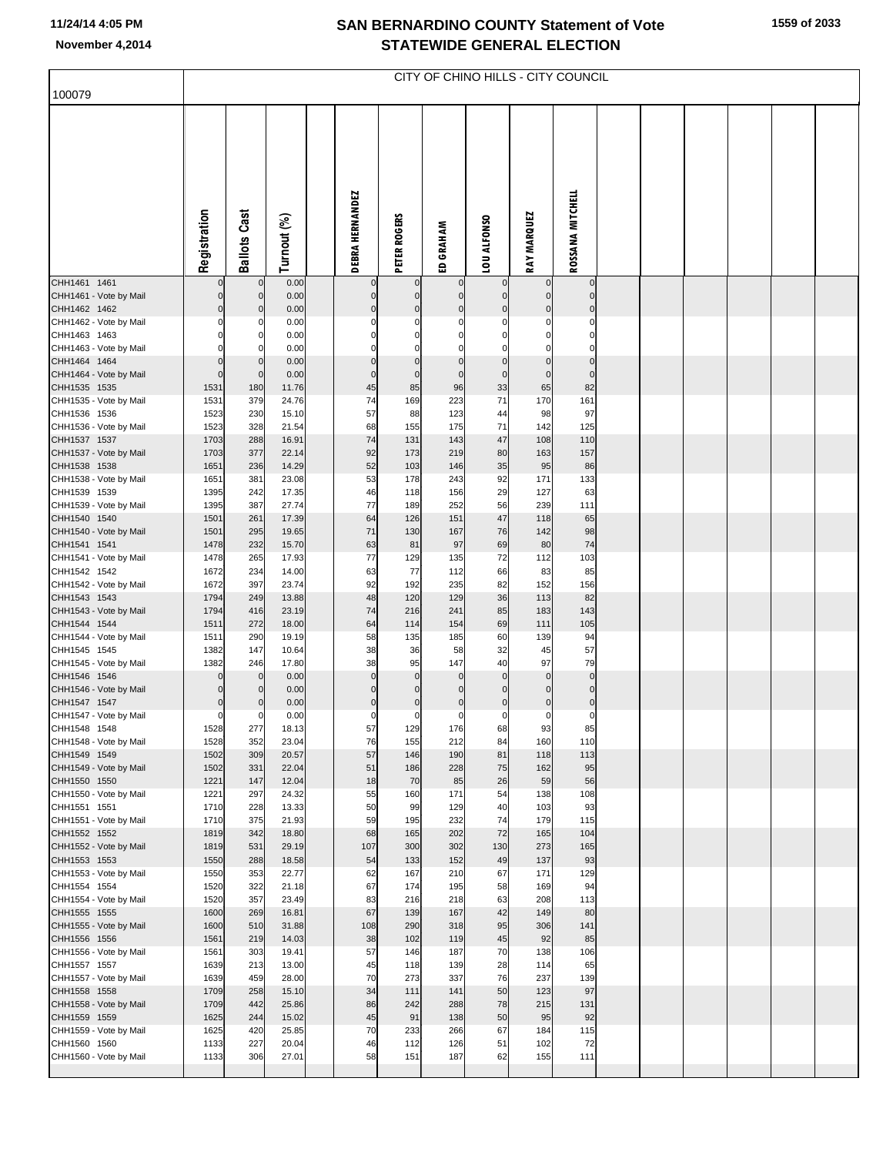## **SAN BERNARDINO COUNTY Statement of Vote November 4,2014 STATEWIDE GENERAL ELECTION**

**1559 of 2033**

|                                        | CITY OF CHINO HILLS - CITY COUNCIL |                     |                |  |                        |                         |                    |                               |                    |                                  |  |  |  |  |  |
|----------------------------------------|------------------------------------|---------------------|----------------|--|------------------------|-------------------------|--------------------|-------------------------------|--------------------|----------------------------------|--|--|--|--|--|
| 100079                                 |                                    |                     |                |  |                        |                         |                    |                               |                    |                                  |  |  |  |  |  |
|                                        | Registration                       | <b>Ballots Cast</b> | Turnout (%)    |  | <b>DEBRA HERNANDEZ</b> | PETER ROGERS            | ED GRAHAM          | LOU ALFONSO                   | <b>RAY MARQUEZ</b> | ROSSANA MITCHELL                 |  |  |  |  |  |
| CHH1461 1461<br>CHH1461 - Vote by Mail | $\Omega$                           | $\Omega$            | 0.00<br>0.00   |  |                        | $\mathbf 0$<br>$\Omega$ | $\mathbf 0$        | $\mathbf 0$<br>$\overline{0}$ |                    | $\overline{0}$<br>$\overline{0}$ |  |  |  |  |  |
| CHH1462 1462                           | $\Omega$                           | $\Omega$            | 0.00           |  |                        | $\mathbf 0$             | 0                  | $\overline{0}$                |                    | $\mathbf 0$                      |  |  |  |  |  |
| CHH1462 - Vote by Mail                 |                                    |                     | 0.00           |  |                        | $\Omega$                |                    | $\mathbf 0$                   |                    | $\Omega$                         |  |  |  |  |  |
| CHH1463 1463<br>CHH1463 - Vote by Mail |                                    |                     | 0.00<br>0.00   |  |                        |                         |                    | 0<br>$\mathbf 0$              |                    | $\Omega$                         |  |  |  |  |  |
| CHH1464 1464                           |                                    |                     | 0.00           |  |                        |                         |                    | $\mathbf 0$                   |                    | $\mathbf 0$                      |  |  |  |  |  |
| CHH1464 - Vote by Mail<br>CHH1535 1535 | $\overline{0}$<br>1531             | $\Omega$<br>180     | 0.00<br>11.76  |  | $\mathsf{C}$<br>45     | $\mathbf 0$<br>85       | $\mathbf 0$<br>96  | $\overline{0}$<br>33          | $\Omega$<br>65     | $\overline{0}$<br>82             |  |  |  |  |  |
| CHH1535 - Vote by Mail                 | 1531                               | 379                 | 24.76          |  | 74                     | 169                     | 223                | 71                            | 170                | 161                              |  |  |  |  |  |
| CHH1536 1536                           | 1523                               | 230                 | 15.10          |  | 57                     | 88                      | 123                | 44                            | 98                 | 97                               |  |  |  |  |  |
| CHH1536 - Vote by Mail<br>CHH1537 1537 | 1523<br>1703                       | 328<br>288          | 21.54<br>16.91 |  | 68<br>74               | 155<br>131              | 175<br>143         | 71<br>47                      | 142<br>108         | 125<br>110                       |  |  |  |  |  |
| CHH1537 - Vote by Mail                 | 1703                               | 377                 | 22.14          |  | 92                     | 173                     | 219                | 80                            | 163                | 157                              |  |  |  |  |  |
| CHH1538 1538                           | 1651                               | 236                 | 14.29          |  | 52                     | 103                     | 146                | 35                            | 95                 | 86                               |  |  |  |  |  |
| CHH1538 - Vote by Mail<br>CHH1539 1539 | 1651<br>1395                       | 381<br>242          | 23.08<br>17.35 |  | 53<br>46               | 178<br>118              | 243<br>156         | 92<br>29                      | 171<br>127         | 133<br>63                        |  |  |  |  |  |
| CHH1539 - Vote by Mail                 | 1395                               | 387                 | 27.74          |  | 77                     | 189                     | 252                | 56                            | 239                | 111                              |  |  |  |  |  |
| CHH1540 1540                           | 1501                               | 261<br>295          | 17.39<br>19.65 |  | 64<br>71               | 126                     | 151                | 47<br>76                      | 118                | 65<br>98                         |  |  |  |  |  |
| CHH1540 - Vote by Mail<br>CHH1541 1541 | 1501<br>1478                       | 232                 | 15.70          |  | 63                     | 130<br>81               | 167<br>97          | 69                            | 142<br>80          | 74                               |  |  |  |  |  |
| CHH1541 - Vote by Mail                 | 1478                               | 265                 | 17.93          |  | 77                     | 129                     | 135                | 72                            | 112                | 103                              |  |  |  |  |  |
| CHH1542 1542<br>CHH1542 - Vote by Mail | 1672<br>1672                       | 234<br>397          | 14.00<br>23.74 |  | 63<br>92               | 77<br>192               | 112<br>235         | 66<br>82                      | 83<br>152          | 85<br>156                        |  |  |  |  |  |
| CHH1543 1543                           | 1794                               | 249                 | 13.88          |  | 48                     | 120                     | 129                | 36                            | 113                | 82                               |  |  |  |  |  |
| CHH1543 - Vote by Mail                 | 1794                               | 416                 | 23.19          |  | 74                     | 216                     | 241                | 85                            | 183                | 143                              |  |  |  |  |  |
| CHH1544 1544<br>CHH1544 - Vote by Mail | 1511<br>1511                       | 272<br>290          | 18.00<br>19.19 |  | 64<br>58               | 114<br>135              | 154<br>185         | 69<br>60                      | 111<br>139         | 105<br>94                        |  |  |  |  |  |
| CHH1545 1545                           | 1382                               | 147                 | 10.64          |  | 38                     | 36                      | 58                 | 32                            | 45                 | 57                               |  |  |  |  |  |
| CHH1545 - Vote by Mail<br>CHH1546 1546 | 1382<br>$\Omega$                   | 246<br>$\mathbf 0$  | 17.80<br>0.00  |  | 38<br>$\Omega$         | 95<br>$\mathbf 0$       | 147<br>$\Omega$    | 40<br>$\pmb{0}$               | 97<br>$\mathbf{0}$ | 79<br>$\pmb{0}$                  |  |  |  |  |  |
| CHH1546 - Vote by Mail                 | $\mathbf 0$                        |                     | 0.00           |  | $\mathcal{C}$          | $\mathbf 0$             | $\mathbf 0$        | $\overline{0}$                | $\Omega$           | $\mathbf 0$                      |  |  |  |  |  |
| CHH1547 1547                           | $\mathbf 0$                        | 0                   | 0.00           |  | $\overline{0}$         | $\mathbf 0$             | $\mathbf 0$        | $\overline{0}$                | $\Omega$           | $\overline{0}$                   |  |  |  |  |  |
| CHH1547 - Vote by Mail<br>CHH1548 1548 | $\overline{0}$<br>1528             | 0<br>277            | 0.00<br>18.13  |  | $\Omega$<br>57         | $\mathbf 0$<br>129      | $\mathbf 0$<br>176 | <sub>0</sub><br>68            | $\mathbf 0$<br>93  | $\mathbf{0}$<br>85               |  |  |  |  |  |
| CHH1548 - Vote by Mail                 | 1528                               | 352                 | 23.04          |  | 76                     | 155                     | 212                | 84                            | 160                | 110                              |  |  |  |  |  |
| CHH1549 1549<br>CHH1549 - Vote by Mail | 1502<br>1502                       | 309<br>331          | 20.57<br>22.04 |  | 57<br>51               | 146                     | 190<br>228         | 81<br>75                      | 118<br>162         | 113                              |  |  |  |  |  |
| CHH1550 1550                           | 1221                               | 147                 | 12.04          |  | 18                     | 186<br>70               | 85                 | 26                            | 59                 | 95<br>56                         |  |  |  |  |  |
| CHH1550 - Vote by Mail                 | 1221                               | 297                 | 24.32          |  | 55                     | 160                     | 171                | 54                            | 138                | 108                              |  |  |  |  |  |
| CHH1551 1551<br>CHH1551 - Vote by Mail | 1710<br>1710                       | 228<br>375          | 13.33<br>21.93 |  | 50<br>59               | 99<br>195               | 129<br>232         | 40<br>74                      | 103<br>179         | 93<br>115                        |  |  |  |  |  |
| CHH1552 1552                           | 1819                               | 342                 | 18.80          |  | 68                     | 165                     | 202                | 72                            | 165                | 104                              |  |  |  |  |  |
| CHH1552 - Vote by Mail                 | 1819                               | 531                 | 29.19          |  | 107                    | 300                     | 302                | 130                           | 273                | 165                              |  |  |  |  |  |
| CHH1553 1553<br>CHH1553 - Vote by Mail | 1550<br>1550                       | 288<br>353          | 18.58<br>22.77 |  | 54<br>62               | 133<br>167              | 152<br>210         | 49<br>67                      | 137<br>171         | 93<br>129                        |  |  |  |  |  |
| CHH1554 1554                           | 1520                               | 322                 | 21.18          |  | 67                     | 174                     | 195                | 58                            | 169                | 94                               |  |  |  |  |  |
| CHH1554 - Vote by Mail<br>CHH1555 1555 | 1520<br>1600                       | 357<br>269          | 23.49<br>16.81 |  | 83<br>67               | 216<br>139              | 218<br>167         | 63<br>42                      | 208<br>149         | 113<br>80                        |  |  |  |  |  |
| CHH1555 - Vote by Mail                 | 1600                               | 510                 | 31.88          |  | 108                    | 290                     | 318                | 95                            | 306                | 141                              |  |  |  |  |  |
| CHH1556 1556                           | 1561                               | 219                 | 14.03          |  | 38                     | 102                     | 119                | 45                            | 92                 | 85                               |  |  |  |  |  |
| CHH1556 - Vote by Mail<br>CHH1557 1557 | 1561<br>1639                       | 303<br>213          | 19.41<br>13.00 |  | 57<br>45               | 146<br>118              | 187<br>139         | 70<br>28                      | 138<br>114         | 106<br>65                        |  |  |  |  |  |
| CHH1557 - Vote by Mail                 | 1639                               | 459                 | 28.00          |  | 70                     | 273                     | 337                | 76                            | 237                | 139                              |  |  |  |  |  |
| CHH1558 1558                           | 1709                               | 258                 | 15.10          |  | 34                     | 111                     | 141                | 50                            | 123<br>215         | 97                               |  |  |  |  |  |
| CHH1558 - Vote by Mail<br>CHH1559 1559 | 1709<br>1625                       | 442<br>244          | 25.86<br>15.02 |  | 86<br>45               | 242<br>91               | 288<br>138         | 78<br>50                      | 95                 | 131<br>92                        |  |  |  |  |  |
| CHH1559 - Vote by Mail                 | 1625                               | 420                 | 25.85          |  | 70                     | 233                     | 266                | 67                            | 184                | 115                              |  |  |  |  |  |
| CHH1560 1560<br>CHH1560 - Vote by Mail | 1133<br>1133                       | 227<br>306          | 20.04<br>27.01 |  | 46<br>58               | 112<br>151              | 126<br>187         | 51<br>62                      | 102<br>155         | 72<br>111                        |  |  |  |  |  |
|                                        |                                    |                     |                |  |                        |                         |                    |                               |                    |                                  |  |  |  |  |  |
|                                        |                                    |                     |                |  |                        |                         |                    |                               |                    |                                  |  |  |  |  |  |